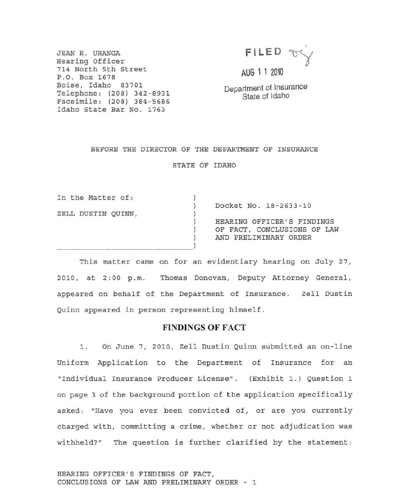JEAN R. URANGA **Hearing Officer 714 North 5th street**  P.O. **Box 1678 Boise, Idaho 83701**  Telephone: (208) 342-8931 **Facsimile: (208) 384-5686 Idaho State Bar No . 1763** 



OF LAW

AUG 1 1 2010

Department of Insurance State of Idaho

### BEFORE THE DIRECTOR OF THE DEPARTMENT OF INSURANCE

STATE OF IDAHO

| In the Matter of:  |                             |  |
|--------------------|-----------------------------|--|
|                    | Docket No. 18-2633-10       |  |
| ZELL DUSTIN QUINN, |                             |  |
|                    | HEARING OFFICER'S FINDINGS  |  |
|                    | OF FACT, CONCLUSIONS OF LAW |  |
|                    | AND PRELIMINARY ORDER       |  |
|                    |                             |  |

This matter came on for an evidentiary hearing on July 27, **2010, at 2:00 p.m. Thomas Donovan, Deputy Attorney General, appeared on behalf of the Department of Insurance. Zell Dustin**  Quinn appeared in person representing himself.

## FINDINGS OF FACT

**1 . On June 7, 2010, Zell Dustin Quinn submitted an on-line Uniform Application to the Department of Insurance for an "Individual Insurance Producer License". (Exhibit 1.) Question 1 on page 3 of the background portion of t he a pplication specifically asked; "Have you ever been convicted of, or are you currently charged with, committing a crime, whether or not adjudication was withheld?" The question is further clarified by the statement:** 

HEARING OFFICER'S FINDINGS OF FACT, CONCLUSIONS OF LAW AND PRELIMINARY ORDER - 1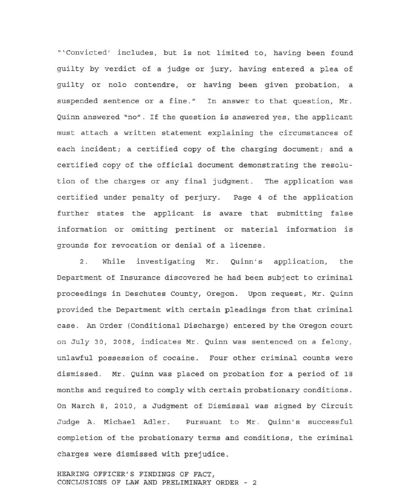"'Convicted' includes, but *is* not limited to, having been found guilty by verdict of a judge or jury, having entered a plea of guilty or nolo contendre, or having been given probation, a suspended sentence or a fine." In answer to that question, Mr. Quinn answered "no". If the question is answered yes, the applicant must attach a written statement explaining the circumstances of each incident; a certified copy of the charging document; and a certified copy of the official document demonstrating the resolution of the charges or any final judgment. The application was certified under penalty of perjury. Page 4 of the application further states the applicant is aware that submitting false information or omitting pertinent or material information is grounds for revocation or denial of a license.

2 . While investigating Mr. Quinn's application, the Department of Insurance discovered he had been subject to criminal proceedings in Deschutes County, Oregon. Upon request, Mr. Quinn provided the Department with certain pleadings from that criminal case. An Order (Conditional Discharge) entered by the Oregon court on July 30, 2008, indicates Mr. Quinn was sentenced on a felony , unlawful possession of cocaine. Four other criminal counts were dismissed. Mr. Quinn was placed on probation for a period of 18 months and required to comply with certain probationary conditions. On March 8, 2010, a Judgment of Dismissal was signed by Circuit Judge A. Michael Adler. Pursuant to Mr. Quinn's successful completion of the probationary terms and conditions, the criminal charges were dismissed with prejudice.

HEARING OFFICER'S FINDINGS OF FACT, CONCLUSIONS OF LAW AND PRELIMINARY ORDER - 2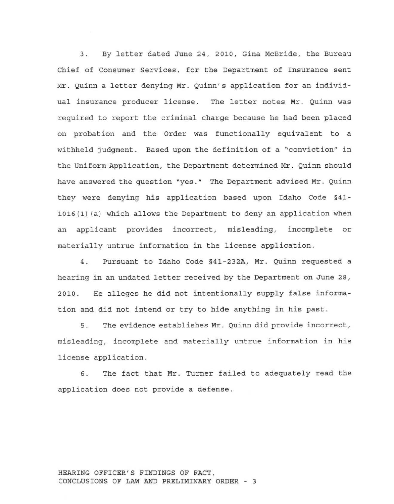3. By letter dated June 24, 2010, Gina McBride, the Bureau Chief of Consumer Services, for the Department of Insurance sent Mr. Quinn a letter denying Mr. Quinn's application for an individual insurance producer license. The letter notes Mr. Quinn was required to report the criminal charge because he had been placed on probation and the Order was functionally equivalent to a withheld judgment. Based upon the definition of a "conviction" in the Uniform Application, the Department determined Mr. Quinn should have answered the question "yes." The Department advised Mr. Quinn they were denying his application based upon Idaho Code §41- 1016(1) (a) which allows the Department to deny an application when an applicant provides incorrect, misleading, incomplete or materially untrue information in the license application.

4. Pursuant to Idaho Code §41-232A, Mr. Quinn requested a hearing in an undated letter received by the Department on June 28, 2010. He alleges he did not intentionally supply false information and did not intend or try to hide anything in his past .

5. The evidence establishes Mr. Quinn did provide incorrect, misleading, incomplete and materially untrue information in his license application.

6. The fact that Mr. Turner failed to adequately read the application does not provide a defense.